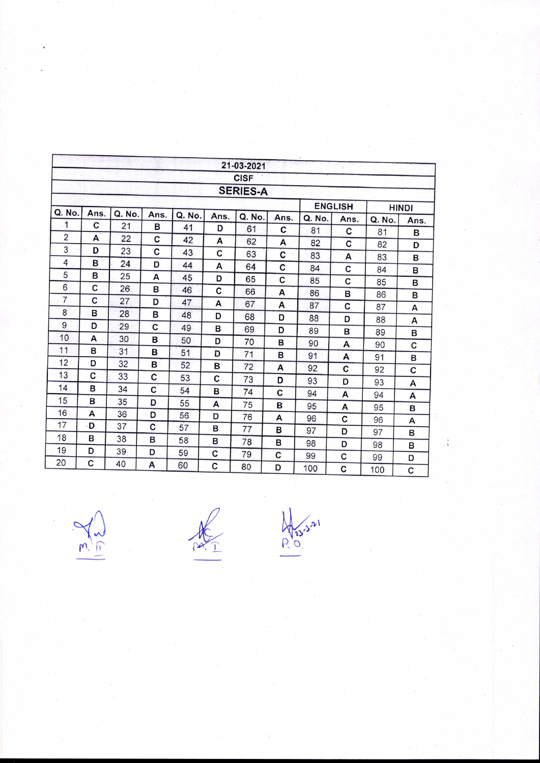|                |      |        |      |        |      | 21-03-2021      |             |                |      |              |      |
|----------------|------|--------|------|--------|------|-----------------|-------------|----------------|------|--------------|------|
|                |      |        |      |        |      | <b>CISF</b>     |             |                |      |              |      |
|                |      |        |      |        |      | <b>SERIES-A</b> |             |                |      |              |      |
|                |      |        |      |        |      |                 |             | <b>ENGLISH</b> |      | <b>HINDI</b> |      |
| Q. No.         | Ans. | Q. No. | Ans. | Q. No. | Ans. | Q. No.          | Ans.        | Q. No.         | Ans. | Q. No.       | Ans. |
| 1              | С    | 21     | в    | 41     | D    | 61              | C           | 81             | C    | 81           | в    |
| $\overline{2}$ | А    | 22     | C    | 42     | A    | 62              | A           | 82             | C    | 82           | D    |
| 3              | D    | 23     | C    | 43     | C    | 63              | $\mathbf c$ | 83             | A    | 83           | B    |
| 4              | в    | 24     | D    | 44     | А    | 64              | C           | 84             | C    | 84           | B    |
| 5              | в    | 25     | A    | 45     | D    | 65              | C           | 85             | C    | 85           | в    |
| 6              | C    | 26     | в    | 46     | C    | 66              | A           | 86             | в    | 86           | в    |
| $\overline{7}$ | C    | 27     | D    | 47     | A    | 67              | A           | 87             | C    | 87           |      |
| 8              | B    | 28     | в    | 48     | D    | 68              | D           | 88             | D    |              | A    |
| 9              | D    | 29     | C    | 49     | в    | 69              | D           | 89             | в    | 88           | A    |
| 10             | A    | 30     | B    | 50     | D    | 70              | B           | 90             |      | 89           | в    |
| 11             | в    | 31     | B    | 51     | D    | 71              | в           | 91             | A    | 90           | C    |
| 12             | D    | 32     | B    | 52     | в    | 72              | A           |                | A    | 91           | в    |
| 13             | C    | 33     | C    | 53     | C    | 73              |             | 92             | C    | 92           | С    |
| 14             | в    | 34     | C    | 54     | B    |                 | D           | 93             | D    | 93           | A    |
| 15             | в    | 35     | D    | 55     |      | 74              | C           | 94             | A    | 94           | A    |
| 16             | A    | 36     | D    | 56     | A    | 75              | в           | 95             | A    | 95           | в    |
| 17             | ۰D   | 37     | C    |        | D    | 76              | A           | 96             | C    | 96           | A    |
| 18             | B    | 38     | в    | 57     | B    | 77              | в           | 97             | D    | 97           | в    |
| 19             | D    | 39     |      | 58     | в    | 78              | в           | 98             | D    | 98           | в    |
| 20             | C    |        | D    | 59     | C    | 79              | C           | 99             | C    | 99           | D    |
|                |      | 40     | A    | 60     | C    | 80              | D           | 100            | C    | 100          | C    |

 $\frac{\sum\limits_{i=1}^{n}1_{i}}{\sum\limits_{i=1}^{n}1_{i}}$ 

 $\frac{1}{\frac{1}{2}}$ 

 $\frac{\sqrt{\frac{1}{13}}}{1}$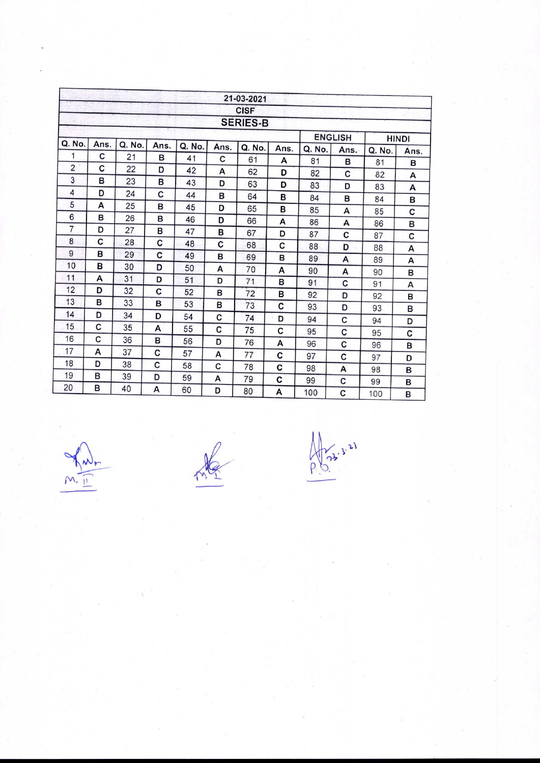|                |                 |        |      |        |      | 21-03-2021  |      |                |      |              |      |
|----------------|-----------------|--------|------|--------|------|-------------|------|----------------|------|--------------|------|
|                |                 |        |      |        |      | <b>CISF</b> |      |                |      |              |      |
|                | <b>SERIES-B</b> |        |      |        |      |             |      |                |      |              |      |
|                |                 |        |      |        |      |             |      | <b>ENGLISH</b> |      | <b>HINDI</b> |      |
| Q. No.         | Ans.            | Q. No. | Ans. | Q. No. | Ans. | Q. No.      | Ans. | Q. No.         | Ans. | Q. No.       | Ans. |
| 1              | C               | 21     | в    | 41     | C    | 61          | A    | 81             | в    | 81           | B    |
| $\overline{2}$ | C               | 22     | D    | 42     | A    | 62          | D    | 82             | C    | 82           | А    |
| 3              | в               | 23     | в    | 43     | D    | 63          | D    | 83             | D    | 83           | A    |
| 4              | D               | 24     | C    | 44     | B    | 64          | B    | 84             | в    | 84           | в    |
| 5              | А               | 25     | B    | 45     | D    | 65          | B    | 85             | A    | 85           | C    |
| 6              | в               | 26     | в    | 46     | D    | 66          | A    | 86             | А    | 86           | в    |
| $\overline{7}$ | D               | 27     | в    | 47     | в    | 67          | D    | 87             | C    | 87           |      |
| 8              | C               | 28     | с    | 48     | C    | 68          | C    | 88             | D    |              | C    |
| 9              | B               | 29     | C    | 49     | в    | 69          | в    | 89             |      | 88           | A    |
| 10             | в               | 30     | D    | 50     | A    | 70          | A    | 90             | A    | 89           | A    |
| 11             | A               | 31     | D    | 51     | D    | 71          | в    | 91             | А    | 90           | в    |
| 12             | D               | 32     | C    | 52     | в    | 72          | в    |                | C    | 91           | A    |
| 13             | в               | 33     | в    | 53     | в    | 73          | C    | 92             | D    | 92           | в    |
| 14             | D               | 34     | D    | 54     | C    |             |      | 93             | D    | 93           | в    |
| 15             | C               | 35     | A    | 55     |      | 74          | D    | 94             | C    | 94           | D    |
| 16             | C               | 36     | в    | 56     | C    | 75          | C    | 95             | C    | 95           | c    |
| 17             | A               | 37     |      |        | D    | 76          | A    | 96             | C    | 96           | в    |
| 18             | D               |        | с    | 57     | А    | 77          | C    | 97             | C    | 97           | D    |
| 19             |                 | 38     | C    | 58     | C    | 78          | C    | 98             | A    | 98           | B    |
|                | в               | 39     | D    | 59     | A    | 79          | C    | 99             | c    | 99           | в    |
| 20             | в               | 40     | A    | 60     | D    | 80          | A    | 100            | C    | 100          | B    |

 $\frac{\sqrt{\frac{1}{2}}}{\sqrt{\frac{1}{2}}}$ 

me

Apr 3-3-21